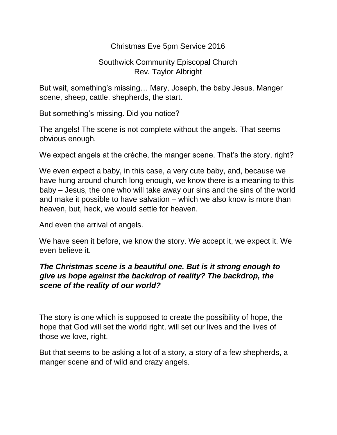## Christmas Eve 5pm Service 2016

## Southwick Community Episcopal Church Rev. Taylor Albright

But wait, something's missing… Mary, Joseph, the baby Jesus. Manger scene, sheep, cattle, shepherds, the start.

But something's missing. Did you notice?

The angels! The scene is not complete without the angels. That seems obvious enough.

We expect angels at the crèche, the manger scene. That's the story, right?

We even expect a baby, in this case, a very cute baby, and, because we have hung around church long enough, we know there is a meaning to this baby – Jesus, the one who will take away our sins and the sins of the world and make it possible to have salvation – which we also know is more than heaven, but, heck, we would settle for heaven.

And even the arrival of angels.

We have seen it before, we know the story. We accept it, we expect it. We even believe it.

## *The Christmas scene is a beautiful one. But is it strong enough to give us hope against the backdrop of reality? The backdrop, the scene of the reality of our world?*

The story is one which is supposed to create the possibility of hope, the hope that God will set the world right, will set our lives and the lives of those we love, right.

But that seems to be asking a lot of a story, a story of a few shepherds, a manger scene and of wild and crazy angels.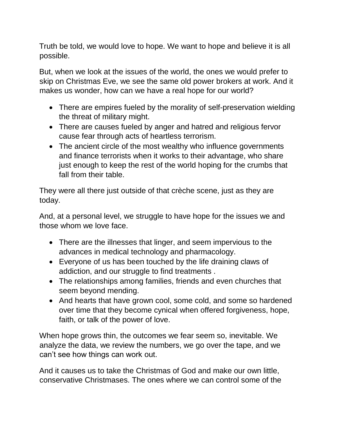Truth be told, we would love to hope. We want to hope and believe it is all possible.

But, when we look at the issues of the world, the ones we would prefer to skip on Christmas Eve, we see the same old power brokers at work. And it makes us wonder, how can we have a real hope for our world?

- There are empires fueled by the morality of self-preservation wielding the threat of military might.
- There are causes fueled by anger and hatred and religious fervor cause fear through acts of heartless terrorism.
- The ancient circle of the most wealthy who influence governments and finance terrorists when it works to their advantage, who share just enough to keep the rest of the world hoping for the crumbs that fall from their table.

They were all there just outside of that crèche scene, just as they are today.

And, at a personal level, we struggle to have hope for the issues we and those whom we love face.

- There are the illnesses that linger, and seem impervious to the advances in medical technology and pharmacology.
- Everyone of us has been touched by the life draining claws of addiction, and our struggle to find treatments .
- The relationships among families, friends and even churches that seem beyond mending.
- And hearts that have grown cool, some cold, and some so hardened over time that they become cynical when offered forgiveness, hope, faith, or talk of the power of love.

When hope grows thin, the outcomes we fear seem so, inevitable. We analyze the data, we review the numbers, we go over the tape, and we can't see how things can work out.

And it causes us to take the Christmas of God and make our own little, conservative Christmases. The ones where we can control some of the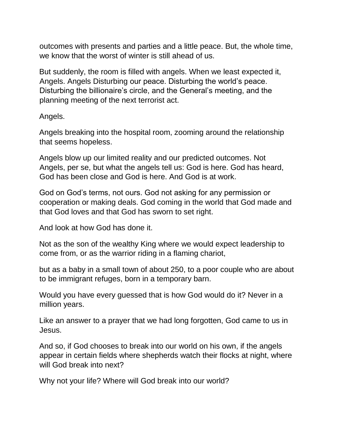outcomes with presents and parties and a little peace. But, the whole time, we know that the worst of winter is still ahead of us.

But suddenly, the room is filled with angels. When we least expected it, Angels. Angels Disturbing our peace. Disturbing the world's peace. Disturbing the billionaire's circle, and the General's meeting, and the planning meeting of the next terrorist act.

Angels.

Angels breaking into the hospital room, zooming around the relationship that seems hopeless.

Angels blow up our limited reality and our predicted outcomes. Not Angels, per se, but what the angels tell us: God is here. God has heard, God has been close and God is here. And God is at work.

God on God's terms, not ours. God not asking for any permission or cooperation or making deals. God coming in the world that God made and that God loves and that God has sworn to set right.

And look at how God has done it.

Not as the son of the wealthy King where we would expect leadership to come from, or as the warrior riding in a flaming chariot,

but as a baby in a small town of about 250, to a poor couple who are about to be immigrant refuges, born in a temporary barn.

Would you have every guessed that is how God would do it? Never in a million years.

Like an answer to a prayer that we had long forgotten, God came to us in Jesus.

And so, if God chooses to break into our world on his own, if the angels appear in certain fields where shepherds watch their flocks at night, where will God break into next?

Why not your life? Where will God break into our world?